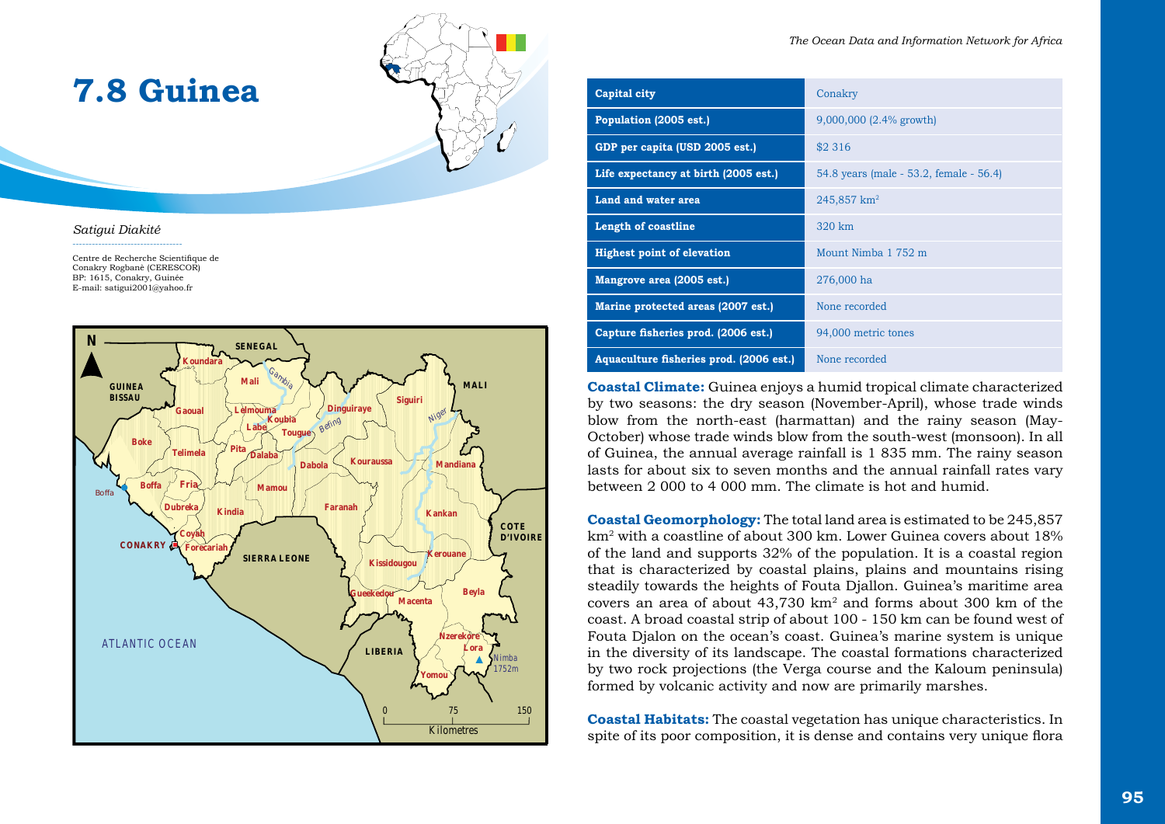

#### *Satigui Diakité*

----------------------------------

Centre de Recherche Scientifique de Conakry Rogbanè (CERESCOR) BP: 1615, Conakry, Guinée E-mail: satigui2001@yahoo.fr

**7.8 Guinea**



| Capital city                            | Conakry                                 |
|-----------------------------------------|-----------------------------------------|
| Population (2005 est.)                  | $9,000,000$ (2.4% growth)               |
| GDP per capita (USD 2005 est.)          | \$2 3 1 6                               |
| Life expectancy at birth (2005 est.)    | 54.8 years (male - 53.2, female - 56.4) |
| Land and water area                     | 245,857 km <sup>2</sup>                 |
| <b>Length of coastline</b>              | 320 km                                  |
| <b>Highest point of elevation</b>       | Mount Nimba 1 752 m                     |
| Mangrove area (2005 est.)               | 276,000 ha                              |
| Marine protected areas (2007 est.)      | None recorded                           |
| Capture fisheries prod. (2006 est.)     | 94,000 metric tones                     |
| Aquaculture fisheries prod. (2006 est.) | None recorded                           |

**Coastal Climate:** Guinea enjoys a humid tropical climate characterized by two seasons: the dry season (November-April), whose trade winds blow from the north-east (harmattan) and the rainy season (May-October) whose trade winds blow from the south-west (monsoon). In all of Guinea, the annual average rainfall is 1 835 mm. The rainy season lasts for about six to seven months and the annual rainfall rates vary between 2 000 to 4 000 mm. The climate is hot and humid.

**Coastal Geomorphology:** The total land area is estimated to be 245,857 km2 with a coastline of about 300 km. Lower Guinea covers about 18% of the land and supports 32% of the population. It is a coastal region that is characterized by coastal plains, plains and mountains rising steadily towards the heights of Fouta Djallon. Guinea's maritime area covers an area of about  $43,730$  km<sup>2</sup> and forms about 300 km of the coast. A broad coastal strip of about 100 - 150 km can be found west of Fouta Djalon on the ocean's coast. Guinea's marine system is unique in the diversity of its landscape. The coastal formations characterized by two rock projections (the Verga course and the Kaloum peninsula) formed by volcanic activity and now are primarily marshes.

**Coastal Habitats:** The coastal vegetation has unique characteristics. In spite of its poor composition, it is dense and contains very unique flora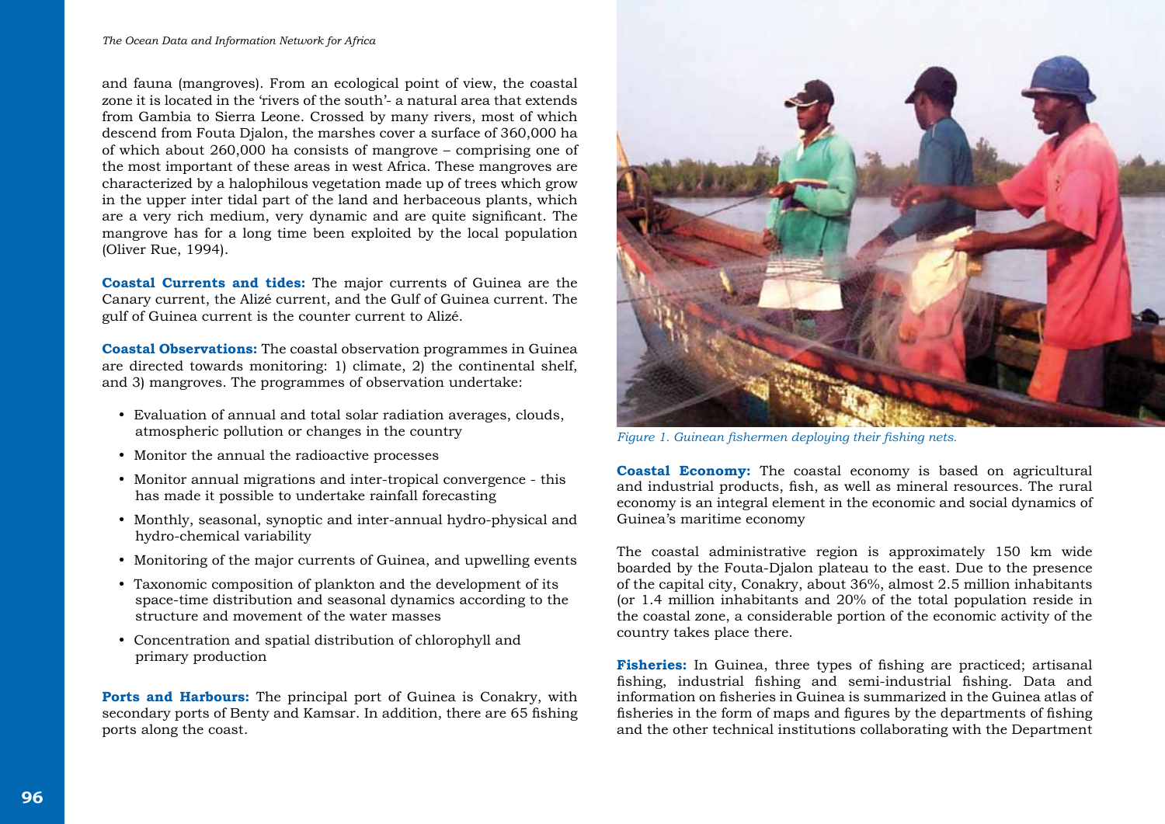and fauna (mangroves). From an ecological point of view, the coastal zone it is located in the 'rivers of the south'- a natural area that extends from Gambia to Sierra Leone. Crossed by many rivers, most of which descend from Fouta Djalon, the marshes cover a surface of 360,000 ha of which about 260,000 ha consists of mangrove – comprising one of the most important of these areas in west Africa. These mangroves are characterized by a halophilous vegetation made up of trees which grow in the upper inter tidal part of the land and herbaceous plants, which are a very rich medium, very dynamic and are quite significant. The mangrove has for a long time been exploited by the local population (Oliver Rue, 1994).

**Coastal Currents and tides:** The major currents of Guinea are the Canary current, the Alizé current, and the Gulf of Guinea current. The gulf of Guinea current is the counter current to Alizé.

**Coastal Observations:** The coastal observation programmes in Guinea are directed towards monitoring: 1) climate, 2) the continental shelf, and 3) mangroves. The programmes of observation undertake:

- Evaluation of annual and total solar radiation averages, clouds, atmospheric pollution or changes in the country
- Monitor the annual the radioactive processes
- Monitor annual migrations and inter-tropical convergence this has made it possible to undertake rainfall forecasting
- Monthly, seasonal, synoptic and inter-annual hydro-physical and hydro-chemical variability
- Monitoring of the major currents of Guinea, and upwelling events
- Taxonomic composition of plankton and the development of its space-time distribution and seasonal dynamics according to the structure and movement of the water masses
- Concentration and spatial distribution of chlorophyll and primary production

**Ports and Harbours:** The principal port of Guinea is Conakry, with secondary ports of Benty and Kamsar. In addition, there are 65 fishing ports along the coast.



*Figure 1. Guinean fishermen deploying their fishing nets.* 

**Coastal Economy:** The coastal economy is based on agricultural and industrial products, fish, as well as mineral resources. The rural economy is an integral element in the economic and social dynamics of Guinea's maritime economy

The coastal administrative region is approximately 150 km wide boarded by the Fouta-Djalon plateau to the east. Due to the presence of the capital city, Conakry, about 36%, almost 2.5 million inhabitants (or 1.4 million inhabitants and 20% of the total population reside in the coastal zone, a considerable portion of the economic activity of the country takes place there.

**Fisheries:** In Guinea, three types of fishing are practiced; artisanal fishing, industrial fishing and semi-industrial fishing. Data and information on fisheries in Guinea is summarized in the Guinea atlas of fisheries in the form of maps and figures by the departments of fishing and the other technical institutions collaborating with the Department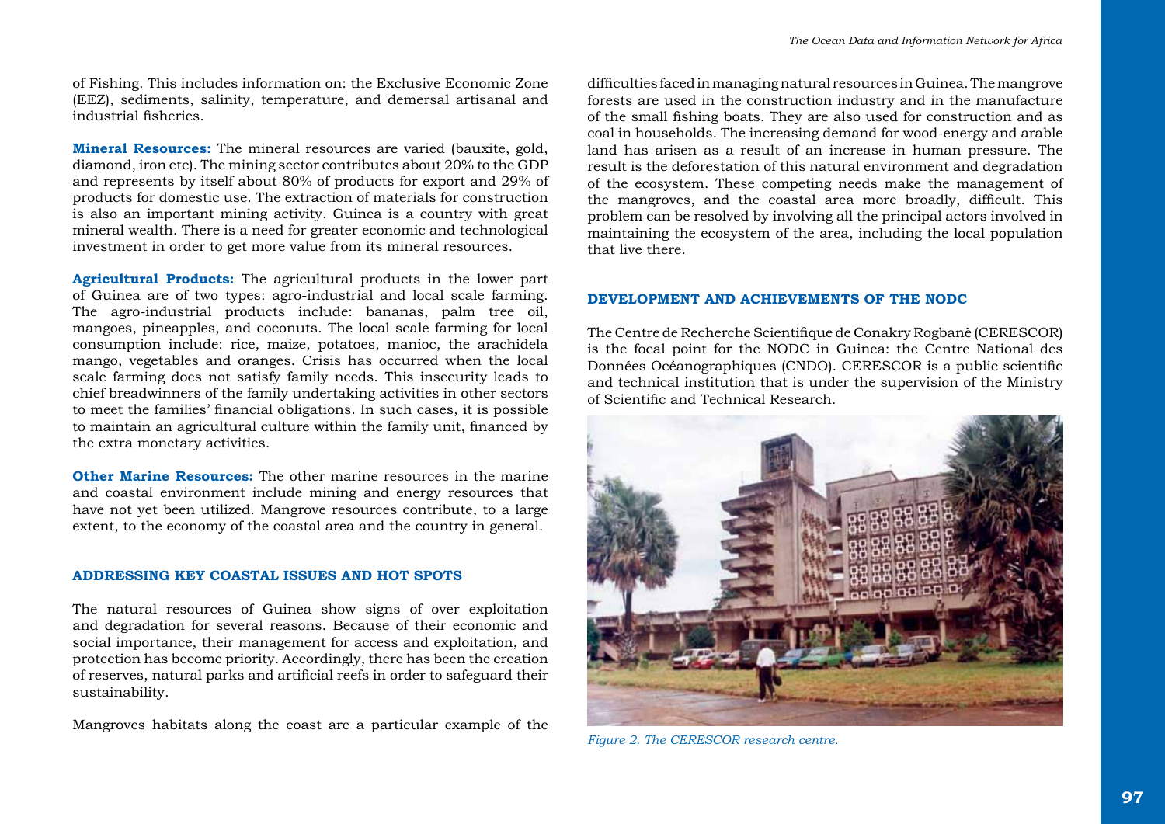of Fishing. This includes information on: the Exclusive Economic Zone (EEZ), sediments, salinity, temperature, and demersal artisanal and industrial fisheries.

**Mineral Resources:** The mineral resources are varied (bauxite, gold, diamond, iron etc). The mining sector contributes about 20% to the GDP and represents by itself about 80% of products for export and 29% of products for domestic use. The extraction of materials for construction is also an important mining activity. Guinea is a country with great mineral wealth. There is a need for greater economic and technological investment in order to get more value from its mineral resources.

**Agricultural Products:** The agricultural products in the lower part of Guinea are of two types: agro-industrial and local scale farming. The agro-industrial products include: bananas, palm tree oil, mangoes, pineapples, and coconuts. The local scale farming for local consumption include: rice, maize, potatoes, manioc, the arachidela mango, vegetables and oranges. Crisis has occurred when the local scale farming does not satisfy family needs. This insecurity leads to chief breadwinners of the family undertaking activities in other sectors to meet the families' financial obligations. In such cases, it is possible to maintain an agricultural culture within the family unit, financed by the extra monetary activities.

**Other Marine Resources:** The other marine resources in the marine and coastal environment include mining and energy resources that have not yet been utilized. Mangrove resources contribute, to a large extent, to the economy of the coastal area and the country in general.

## **ADDRESSING KEY COASTAL ISSUES AND HOT SPOTS**

The natural resources of Guinea show signs of over exploitation and degradation for several reasons. Because of their economic and social importance, their management for access and exploitation, and protection has become priority. Accordingly, there has been the creation of reserves, natural parks and artificial reefs in order to safeguard their sustainability.

Mangroves habitats along the coast are a particular example of the

difficulties faced in managing natural resources in Guinea. The mangrove forests are used in the construction industry and in the manufacture of the small fishing boats. They are also used for construction and as coal in households. The increasing demand for wood-energy and arable land has arisen as a result of an increase in human pressure. The result is the deforestation of this natural environment and degradation of the ecosystem. These competing needs make the management of the mangroves, and the coastal area more broadly, difficult. This problem can be resolved by involving all the principal actors involved in maintaining the ecosystem of the area, including the local population that live there.

# **DEVELOPMENT AND ACHIEVEMENTS OF THE NODC**

The Centre de Recherche Scientifique de Conakry Rogbanè (CERESCOR) is the focal point for the NODC in Guinea: the Centre National des Données Océanographiques (CNDO). CERESCOR is a public scientific and technical institution that is under the supervision of the Ministry of Scientific and Technical Research.



*Figure 2. The CERESCOR research centre.*